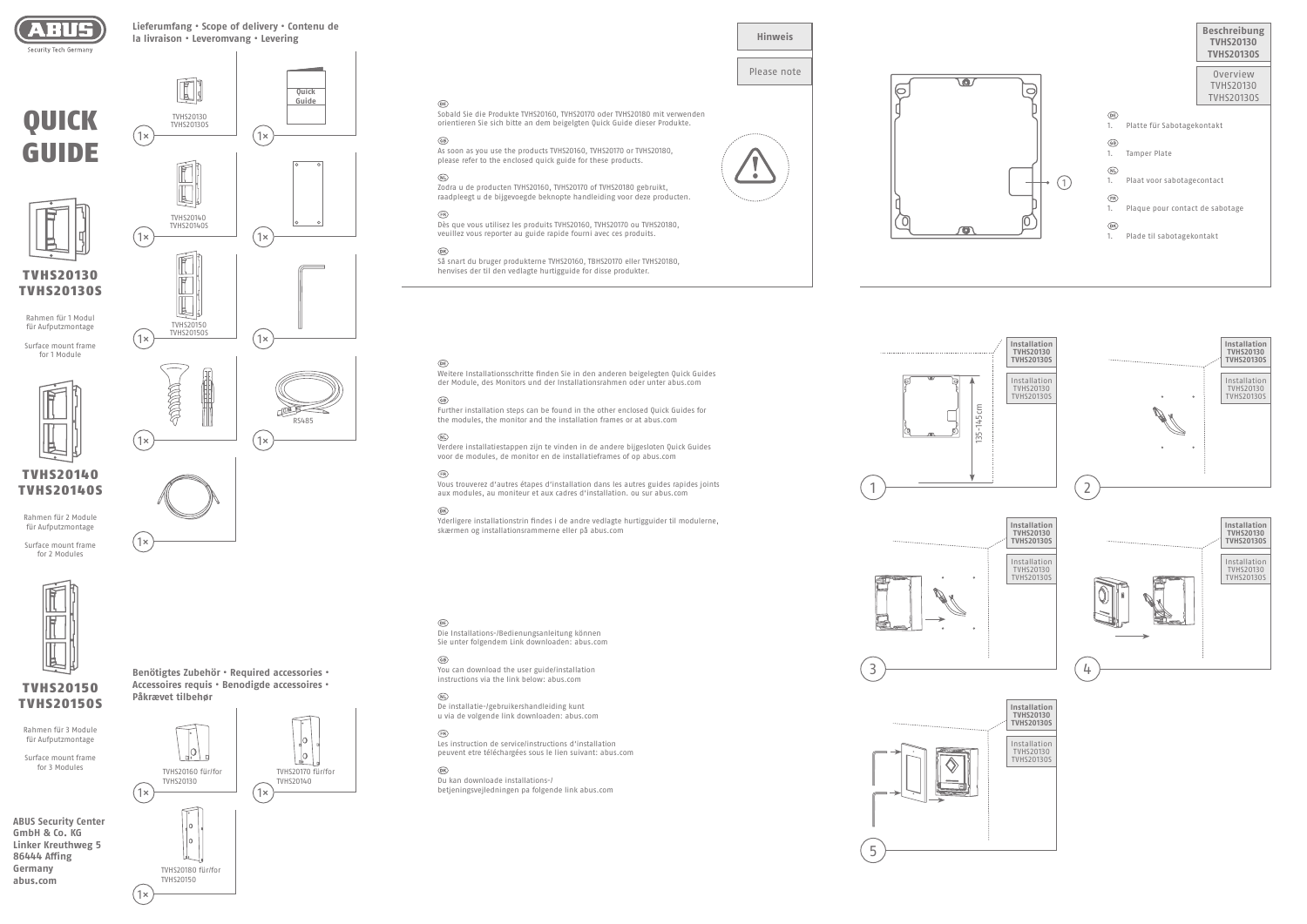

QUICK

GUIDE

**ABUS Security Center GmbH & Co. KG Linker Kreuthweg 5 86444 Affing Germany abus.com**

TVHS20160 für/for TVHS20140 1× ) (1×

**Benötigtes Zubehör • Required accessories •** 

**Accessoires requis • Benodigde accessoires • Påkrævet tilbehør**



TVHS20130

# **Lieferumfang • Scope of delivery • Contenu de la livraison • Leveromvang • Levering**

**Quick Guide**

TVHS20130S

 $\frac{1}{\sqrt{2}}$ 

TVHS20140

ÍÉ







RS485

# Please note







Die Installations-/Bedienungsanleitung können Sie unter folgendem Link downloaden: abus.com

# $\binom{GB}{}$

You can download the user guide/installation instructions via the link below: abus.com

# $\bigcirc$

De installatie-/gebruikershandleiding kunt u via de volgende link downloaden: abus.com

# $(FR)$

Les instruction de service/instructions d'installation peuvent etre téléchargées sous le lien suivant: abus.com

# $\circledR$

Du kan downloade installations-/ betjeningsvejledningen pa folgende link abus.com

Weitere Installationsschritte finden Sie in den anderen beigelegten Quick Guides der Module, des Monitors und der Installationsrahmen oder unter abus.com

# $\circledR$

 $\bigcirc$ Dès que vous utilisez les produits TVHS20160, TVHS20170 ou TVHS20180, veuillez vous reporter au guide rapide fourni avec ces produits.

Så snart du bruger produkterne TVHS20160, TBHS20170 eller TVHS20180, **TVHS20130 Henvises der til den vedlagte hurtigguide for disse produkter.** 

#### $\widehat{DR}$



Further installation steps can be found in the other enclosed Quick Guides for the modules, the monitor and the installation frames or at abus.com

# $\bigcirc$

Verdere installatiestappen zijn te vinden in de andere bijgesloten Quick Guides voor de modules, de monitor en de installatieframes of op abus.com

# $\bigcirc$

Vous trouverez d'autres étapes d'installation dans les autres guides rapides joints aux modules, au moniteur et aux cadres d'installation. ou sur abus.com

#### $\circledR$

TVHS20150 TVHS20150S

**ACCEPTED** 

 $(1x)$  TVHS20150S  $(1x)$ 

1× ) (1×

H

Yderligere installationstrin findes i de andre vedlagte hurtigguider til modulerne, skærmen og installationsrammerne eller på abus.com

# $\widehat{$



# $\widehat{DE}$

Sobald Sie die Produkte TVHS20160, TVHS20170 oder TVHS20180 mit verwenden orientieren Sie sich bitte an dem beigelgten Quick Guide dieser Produkte.

# $\binom{GB}{}$

As soon as you use the products TVHS20160, TVHS20170 or TVHS20180, please refer to the enclosed quick guide for these products.

# $\bigcirc$

Zodra u de producten TVHS20160, TVHS20170 of TVHS20180 gebruikt, raadpleegt u de bijgevoegde beknopte handleiding voor deze producten.

TVHS20130S

Rahmen für 1 Modul für Aufputzmontage Surface mount frame for 1 Module

TVHS20140 TVHS20140S

Rahmen für 2 Module für Aufputzmontage Surface mount frame for 2 Modules

TVHS20150 TVHS20150S

Rahmen für 3 Module für Aufputzmontage Surface mount frame for 3 Modules



1×

1×





5

TVHS20130

 $(1\times)$   $(1\times)$ 

TVHS20140S

1× ) (1×



Installation TVHS20130 TVHS20130S

**TVHS20130S**